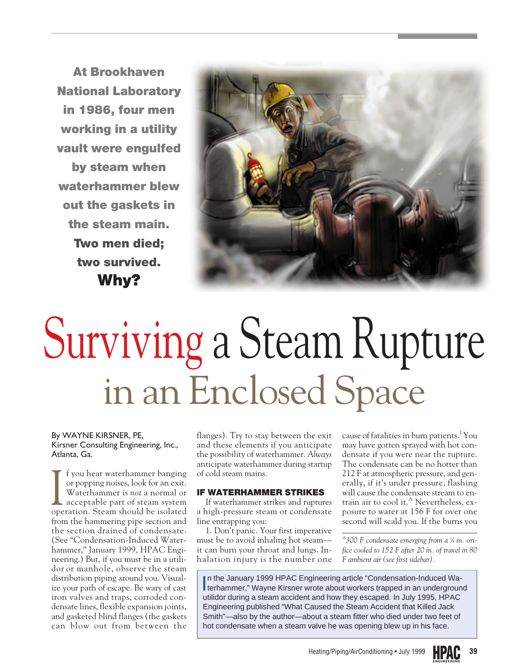**At Brookhaven National Laboratory in 1986, four men working in a utility vault were engulfed by steam when waterhammer blew out the gaskets in the steam main. Two men died; two survived. Why?**



# Surviving a Steam Rupture in an Enclosed Space

#### By WAYNE KIRSNER, PE, Kirsner Consulting Engineering, Inc., Atlanta, Ga.

I f you hear waterhammer banging<br>or popping noises, look for an exit.<br>Waterhammer is not a normal or<br>acceptable part of steam system<br>operation. Steam should be isolated f you hear waterhammer banging or popping noises, look for an exit. Waterhammer is *not* a normal or acceptable part of steam system from the hammering pipe section and the section drained of condensate. (See "Condensation-Induced Waterhammer," January 1999, HPAC Engineering.) But, if you must be in a utilidor or manhole, observe the steam distribution piping around you. Visualize your path of escape. Be wary of cast iron valves and traps, corroded condensate lines, flexible expansion joints, and gasketed blind flanges (the gaskets can blow out from between the

flanges). Try to stay between the exit and these elements if you anticipate the possibility of waterhammer. *Always* anticipate waterhammer during startup of cold steam mains.

### **IF WATERHAMMER STRIKES**

If waterhammer strikes and ruptures a high-pressure steam or condensate line entrapping you:

1. Don't panic. Your first imperative must be to avoid inhaling hot steam it can burn your throat and lungs. Inhalation injury is the number one

cause of fatalities in burn patients.<sup>1</sup> You may have gotten sprayed with hot condensate if you were near the rupture. The condensate can be no hotter than 212 F at atmospheric pressure, and generally, if it's under pressure, flashing will cause the condensate stream to entrain air to cool it.<sup>A</sup> Nevertheless, exposure to water at 156 F for over one second will scald you. If the burns you

*A 300 F condensate emerging from a 1 ⁄8 in. orifice cooled to 152 F after 20 in. of travel in 80 F ambient air (see first sidebar).*

In the January 1999 HPAC Engineering article "Condensation-Induced Wa-<br>terhammer," Wayne Kirsner wrote about workers trapped in an undergroun terhammer," Wayne Kirsner wrote about workers trapped in an underground utilidor during a steam accident and how they escaped. In July 1995, HPAC Engineering published "What Caused the Steam Accident that Killed Jack Smith"—also by the author—about a steam fitter who died under two feet of hot condensate when a steam valve he was opening blew up in his face.

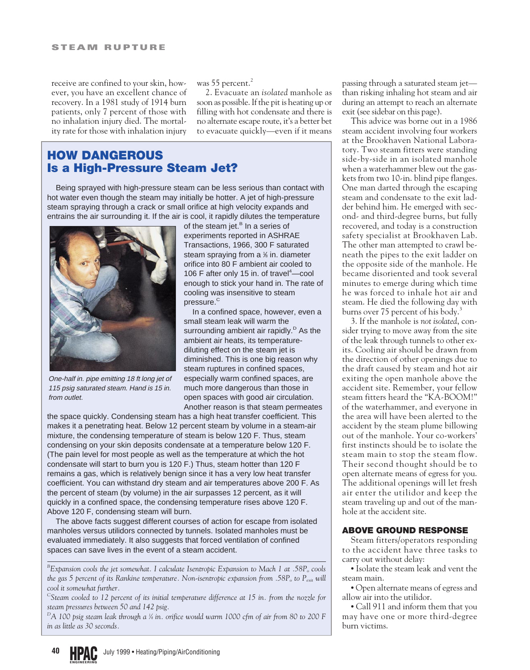receive are confined to your skin, however, you have an excellent chance of recovery. In a 1981 study of 1914 burn patients, only 7 percent of those with no inhalation injury died. The mortality rate for those with inhalation injury

was 55 percent.<sup>2</sup>

2. Evacuate an *isolated* manhole as soon as possible. If the pit is heating up or filling with hot condensate and there is no alternate escape route, it's a better bet to evacuate quickly—even if it means

## **HOW DANGEROUS Is a High-Pressure Steam Jet?**

Being sprayed with high-pressure steam can be less serious than contact with hot water even though the steam may initially be hotter. A jet of high-pressure steam spraying through a crack or small orifice at high velocity expands and entrains the air surrounding it. If the air is cool, it rapidly dilutes the temperature



One-half in. pipe emitting 18 ft long jet of 115 psig saturated steam. Hand is 15 in. from outlet.

of the steam jet.<sup>B</sup> In a series of experiments reported in ASHRAE Transactions, 1966, 300 F saturated steam spraying from a % in. diameter orifice into 80 F ambient air cooled to 106 F after only 15 in. of travel<sup>4</sup>-cool enough to stick your hand in. The rate of cooling was insensitive to steam pressure.<sup>c</sup>

In a confined space, however, even a small steam leak will warm the surrounding ambient air rapidly.<sup>D</sup> As the ambient air heats, its temperaturediluting effect on the steam jet is diminished. This is one big reason why steam ruptures in confined spaces, especially warm confined spaces, are much more dangerous than those in open spaces with good air circulation. Another reason is that steam permeates

the space quickly. Condensing steam has a high heat transfer coefficient. This makes it a penetrating heat. Below 12 percent steam by volume in a steam-air mixture, the condensing temperature of steam is below 120 F. Thus, steam condensing on your skin deposits condensate at a temperature below 120 F. (The pain level for most people as well as the temperature at which the hot condensate will start to burn you is 120 F.) Thus, steam hotter than 120 F remains a gas, which is relatively benign since it has a very low heat transfer coefficient. You can withstand dry steam and air temperatures above 200 F. As the percent of steam (by volume) in the air surpasses 12 percent, as it will quickly in a confined space, the condensing temperature rises above 120 F. Above 120 F, condensing steam will burn.

The above facts suggest different courses of action for escape from isolated manholes versus utilidors connected by tunnels. Isolated manholes must be evaluated immediately. It also suggests that forced ventilation of confined spaces can save lives in the event of a steam accident.

*B* Expansion cools the jet somewhat. I calculate Isentropic Expansion to Mach 1 at .58P<sub>o</sub> cools *the gas 5 percent of its Rankine temperature. Non-isentropic expansion from .58P<sub>o</sub> to P<sub>exit</sub> will cool it somewhat further.*

*C Steam cooled to 12 percent of its initial temperature difference at 15 in. from the nozzle for steam pressures between 50 and 142 psig.*

*D A 100 psig steam leak through a 1 ⁄4 in. orifice would warm 1000 cfm of air from 80 to 200 F in as little as 30 seconds.*

passing through a saturated steam jet than risking inhaling hot steam and air during an attempt to reach an alternate exit (see sidebar on this page).

This advice was borne out in a 1986 steam accident involving four workers at the Brookhaven National Laboratory. Two steam fitters were standing side-by-side in an isolated manhole when a waterhammer blew out the gaskets from two 10-in. blind pipe flanges. One man darted through the escaping steam and condensate to the exit ladder behind him. He emerged with second- and third-degree burns, but fully recovered, and today is a construction safety specialist at Brookhaven Lab. The other man attempted to crawl beneath the pipes to the exit ladder on the opposite side of the manhole. He became disoriented and took several minutes to emerge during which time he was forced to inhale hot air and steam. He died the following day with burns over 75 percent of his body.<sup>3</sup>

3. If the manhole is *not isolated*, consider trying to move away from the site of the leak through tunnels to other exits. Cooling air should be drawn from the direction of other openings due to the draft caused by steam and hot air exiting the open manhole above the accident site. Remember, your fellow steam fitters heard the "KA-BOOM!" of the waterhammer, and everyone in the area will have been alerted to the accident by the steam plume billowing out of the manhole. Your co-workers' first instincts should be to isolate the steam main to stop the steam flow. Their second thought should be to open alternate means of egress for you. The additional openings will let fresh air enter the utilidor and keep the steam traveling up and out of the manhole at the accident site.

### **ABOVE GROUND RESPONSE**

Steam fitters/operators responding to the accident have three tasks to carry out without delay:

• Isolate the steam leak and vent the steam main.

• Open alternate means of egress and allow air into the utilidor.

• Call 911 and inform them that you may have one or more third-degree burn victims.

**HPAC ENGINEERING 40** July 1999 • Heating/Piping/AirConditioning